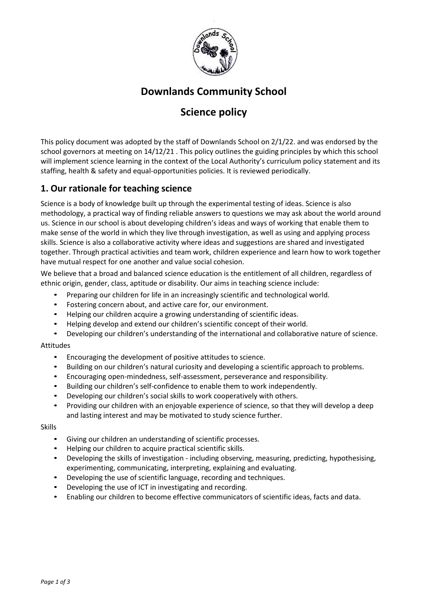

# **Downlands Community School**

# **Science policy**

This policy document was adopted by the staff of Downlands School on 2/1/22. and was endorsed by the school governors at meeting on 14/12/21 . This policy outlines the guiding principles by which this school will implement science learning in the context of the Local Authority's curriculum policy statement and its staffing, health & safety and equal-opportunities policies. It is reviewed periodically.

# **1. Our rationale for teaching science**

Science is a body of knowledge built up through the experimental testing of ideas. Science is also methodology, a practical way of finding reliable answers to questions we may ask about the world around us. Science in our school is about developing children's ideas and ways of working that enable them to make sense of the world in which they live through investigation, as well as using and applying process skills. Science is also a collaborative activity where ideas and suggestions are shared and investigated together. Through practical activities and team work, children experience and learn how to work together have mutual respect for one another and value social cohesion.

We believe that a broad and balanced science education is the entitlement of all children, regardless of ethnic origin, gender, class, aptitude or disability. Our aims in teaching science include:

- Preparing our children for life in an increasingly scientific and technological world.
- Fostering concern about, and active care for, our environment.
- Helping our children acquire a growing understanding of scientific ideas.
- Helping develop and extend our children's scientific concept of their world.
- Developing our children's understanding of the international and collaborative nature of science.

#### Attitudes

- Encouraging the development of positive attitudes to science.
- Building on our children's natural curiosity and developing a scientific approach to problems.
- Encouraging open-mindedness, self-assessment, perseverance and responsibility.
- Building our children's self-confidence to enable them to work independently.
- Developing our children's social skills to work cooperatively with others.
- Providing our children with an enjoyable experience of science, so that they will develop a deep and lasting interest and may be motivated to study science further.

#### Skills

- Giving our children an understanding of scientific processes.
- Helping our children to acquire practical scientific skills.
- Developing the skills of investigation including observing, measuring, predicting, hypothesising, experimenting, communicating, interpreting, explaining and evaluating.
- Developing the use of scientific language, recording and techniques.
- Developing the use of ICT in investigating and recording.
- Enabling our children to become effective communicators of scientific ideas, facts and data.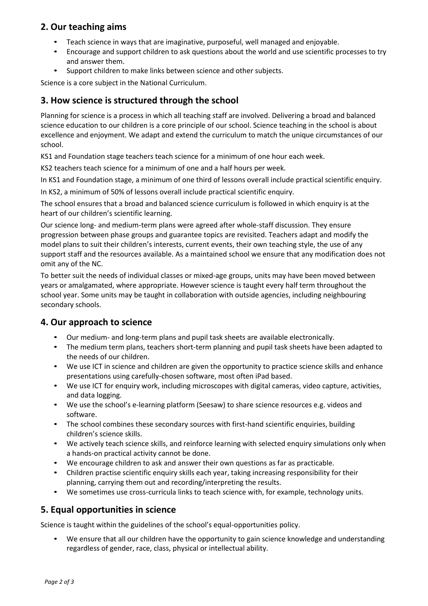### **2. Our teaching aims**

- Teach science in ways that are imaginative, purposeful, well managed and enjoyable.
- Encourage and support children to ask questions about the world and use scientific processes to try and answer them.
- Support children to make links between science and other subjects.

Science is a core subject in the National Curriculum.

### **3. How science is structured through the school**

Planning for science is a process in which all teaching staff are involved. Delivering a broad and balanced science education to our children is a core principle of our school. Science teaching in the school is about excellence and enjoyment. We adapt and extend the curriculum to match the unique circumstances of our school.

KS1 and Foundation stage teachers teach science for a minimum of one hour each week.

KS2 teachers teach science for a minimum of one and a half hours per week.

In KS1 and Foundation stage, a minimum of one third of lessons overall include practical scientific enquiry.

In KS2, a minimum of 50% of lessons overall include practical scientific enquiry.

The school ensures that a broad and balanced science curriculum is followed in which enquiry is at the heart of our children's scientific learning.

Our science long- and medium-term plans were agreed after whole-staff discussion. They ensure progression between phase groups and guarantee topics are revisited. Teachers adapt and modify the model plans to suit their children's interests, current events, their own teaching style, the use of any support staff and the resources available. As a maintained school we ensure that any modification does not omit any of the NC.

To better suit the needs of individual classes or mixed-age groups, units may have been moved between years or amalgamated, where appropriate. However science is taught every half term throughout the school year. Some units may be taught in collaboration with outside agencies, including neighbouring secondary schools.

# **4. Our approach to science**

- Our medium- and long-term plans and pupil task sheets are available electronically.
- The medium term plans, teachers short-term planning and pupil task sheets have been adapted to the needs of our children.
- We use ICT in science and children are given the opportunity to practice science skills and enhance presentations using carefully-chosen software, most often iPad based.
- We use ICT for enquiry work, including microscopes with digital cameras, video capture, activities, and data logging.
- We use the school's e-learning platform (Seesaw) to share science resources e.g. videos and software.
- The school combines these secondary sources with first-hand scientific enquiries, building children's science skills.
- We actively teach science skills, and reinforce learning with selected enquiry simulations only when a hands-on practical activity cannot be done.
- We encourage children to ask and answer their own questions as far as practicable.
- Children practise scientific enquiry skills each year, taking increasing responsibility for their planning, carrying them out and recording/interpreting the results.
- We sometimes use cross-curricula links to teach science with, for example, technology units.

# **5. Equal opportunities in science**

Science is taught within the guidelines of the school's equal-opportunities policy.

• We ensure that all our children have the opportunity to gain science knowledge and understanding regardless of gender, race, class, physical or intellectual ability.